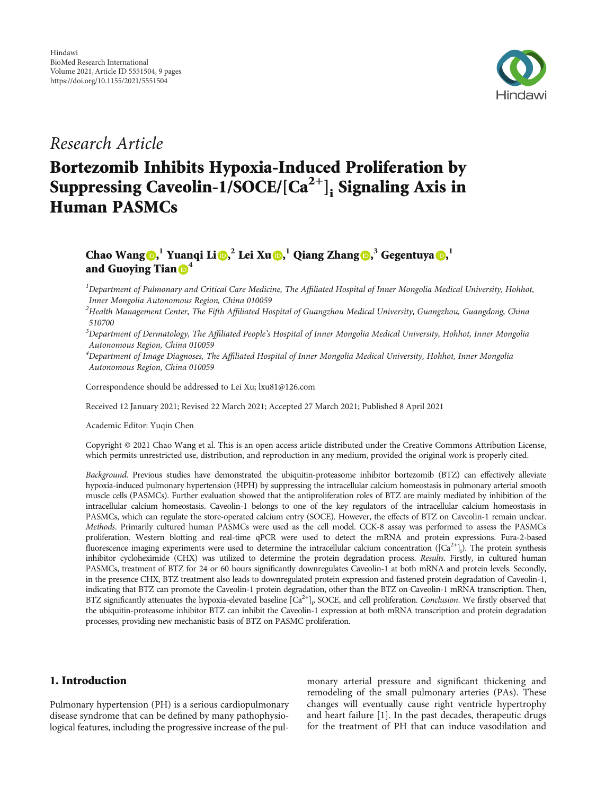

Research Article

# Bortezomib Inhibits Hypoxia-Induced Proliferation by Suppressing Caveolin-1/SOCE/ $[Ca^{2+}]$ ; Signaling Axis in Human PASMCs

# Chao Wang  $\textbf{D},^1$  $\textbf{D},^1$  $\textbf{D},^1$  Yuanqi Li $\textbf{D},^2$  Lei Xu  $\textbf{D},^1$  Qiang Zhang  $\textbf{D},^3$  Gegentuya  $\textbf{D},^1$ and Guoying Tian **<sup>[4](https://orcid.org/0000-0002-2644-6612)</sup>**

 $^1$ Department of Pulmonary and Critical Care Medicine, The Affiliated Hospital of Inner Mongolia Medical University, Hohhot, Inner Mongolia Autonomous Region, China 010059

 $^2$ Health Management Center, The Fifth Affiliated Hospital of Guangzhou Medical University, Guangzhou, Guangdong, China 510700

 $^3$ Department of Dermatology, The Affiliated People's Hospital of Inner Mongolia Medical University, Hohhot, Inner Mongolia Autonomous Region, China 010059

4 Department of Image Diagnoses, The Affiliated Hospital of Inner Mongolia Medical University, Hohhot, Inner Mongolia Autonomous Region, China 010059

Correspondence should be addressed to Lei Xu; lxu81@126.com

Received 12 January 2021; Revised 22 March 2021; Accepted 27 March 2021; Published 8 April 2021

Academic Editor: Yuqin Chen

Copyright © 2021 Chao Wang et al. This is an open access article distributed under the [Creative Commons Attribution License](https://creativecommons.org/licenses/by/4.0/), which permits unrestricted use, distribution, and reproduction in any medium, provided the original work is properly cited.

Background. Previous studies have demonstrated the ubiquitin-proteasome inhibitor bortezomib (BTZ) can effectively alleviate hypoxia-induced pulmonary hypertension (HPH) by suppressing the intracellular calcium homeostasis in pulmonary arterial smooth muscle cells (PASMCs). Further evaluation showed that the antiproliferation roles of BTZ are mainly mediated by inhibition of the intracellular calcium homeostasis. Caveolin-1 belongs to one of the key regulators of the intracellular calcium homeostasis in PASMCs, which can regulate the store-operated calcium entry (SOCE). However, the effects of BTZ on Caveolin-1 remain unclear. Methods. Primarily cultured human PASMCs were used as the cell model. CCK-8 assay was performed to assess the PASMCs proliferation. Western blotting and real-time qPCR were used to detect the mRNA and protein expressions. Fura-2-based fluorescence imaging experiments were used to determine the intracellular calcium concentration  $([Ca^{2+}]_i)$ . The protein synthesis inhibitor cycloheximide (CHX) was utilized to determine the protein degradation process. Results. Firstly, in cultured human PASMCs, treatment of BTZ for 24 or 60 hours significantly downregulates Caveolin-1 at both mRNA and protein levels. Secondly, in the presence CHX, BTZ treatment also leads to downregulated protein expression and fastened protein degradation of Caveolin-1, indicating that BTZ can promote the Caveolin-1 protein degradation, other than the BTZ on Caveolin-1 mRNA transcription. Then, BTZ significantly attenuates the hypoxia-elevated baseline  $[Ca^{2+}]_i$ , SOCE, and cell proliferation. Conclusion. We firstly observed that the ubiquitin-proteasome inhibitor BTZ can inhibit the Caveolin-1 expression at both mRNA transcription and protein degradation processes, providing new mechanistic basis of BTZ on PASMC proliferation.

# 1. Introduction

Pulmonary hypertension (PH) is a serious cardiopulmonary disease syndrome that can be defined by many pathophysiological features, including the progressive increase of the pul-

monary arterial pressure and significant thickening and remodeling of the small pulmonary arteries (PAs). These changes will eventually cause right ventricle hypertrophy and heart failure [[1\]](#page-7-0). In the past decades, therapeutic drugs for the treatment of PH that can induce vasodilation and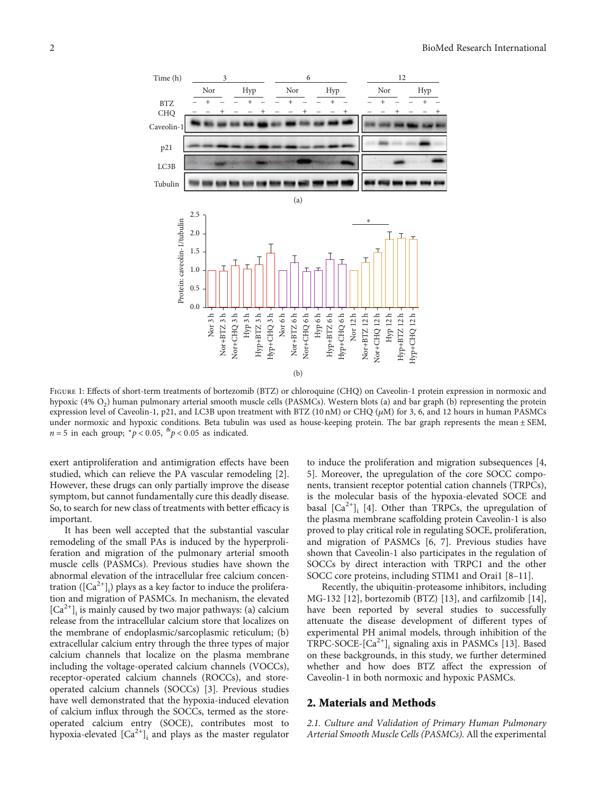<span id="page-1-0"></span>

FIGURE 1: Effects of short-term treatments of bortezomib (BTZ) or chloroquine (CHQ) on Caveolin-1 protein expression in normoxic and hypoxic (4%  $O<sub>2</sub>$ ) human pulmonary arterial smooth muscle cells (PASMCs). Western blots (a) and bar graph (b) representing the protein expression level of Caveolin-1, p21, and LC3B upon treatment with BTZ (10 nM) or CHQ (*μ*M) for 3, 6, and 12 hours in human PASMCs under normoxic and hypoxic conditions. Beta tubulin was used as house-keeping protein. The bar graph represents the mean ± SEM,  $n = 5$  in each group;  $\binom{n}{p} < 0.05$ ,  $\binom{8k}{p} < 0.05$  as indicated.

exert antiproliferation and antimigration effects have been studied, which can relieve the PA vascular remodeling [[2](#page-7-0)]. However, these drugs can only partially improve the disease symptom, but cannot fundamentally cure this deadly disease. So, to search for new class of treatments with better efficacy is important.

It has been well accepted that the substantial vascular remodeling of the small PAs is induced by the hyperproliferation and migration of the pulmonary arterial smooth muscle cells (PASMCs). Previous studies have shown the abnormal elevation of the intracellular free calcium concentration ( $\left[{\rm Ca}^{2+}\right]_{\rm i}$ ) plays as a key factor to induce the proliferation and migration of PASMCs. In mechanism, the elevated  $[Ca^{2+}]$ <sub>i</sub> is mainly caused by two major pathways: (a) calcium release from the intracellular calcium store that localizes on the membrane of endoplasmic/sarcoplasmic reticulum; (b) extracellular calcium entry through the three types of major calcium channels that localize on the plasma membrane including the voltage-operated calcium channels (VOCCs), receptor-operated calcium channels (ROCCs), and storeoperated calcium channels (SOCCs) [\[3\]](#page-7-0). Previous studies have well demonstrated that the hypoxia-induced elevation of calcium influx through the SOCCs, termed as the storeoperated calcium entry (SOCE), contributes most to hypoxia-elevated  $[Ca^{2+}]$ <sub>i</sub> and plays as the master regulator

to induce the proliferation and migration subsequences [\[4,](#page-7-0) [5\]](#page-7-0). Moreover, the upregulation of the core SOCC components, transient receptor potential cation channels (TRPCs), is the molecular basis of the hypoxia-elevated SOCE and basal  $[Ca^{2+}]$ <sub>i</sub> [\[4\]](#page-7-0). Other than TRPCs, the upregulation of the plasma membrane scaffolding protein Caveolin-1 is also proved to play critical role in regulating SOCE, proliferation, and migration of PASMCs [[6](#page-7-0), [7](#page-7-0)]. Previous studies have shown that Caveolin-1 also participates in the regulation of SOCCs by direct interaction with TRPC1 and the other SOCC core proteins, including STIM1 and Orai1 [[8](#page-7-0)–[11](#page-7-0)].

Recently, the ubiquitin-proteasome inhibitors, including MG-132 [\[12\]](#page-7-0), bortezomib (BTZ) [\[13\]](#page-7-0), and carfilzomib [[14](#page-7-0)], have been reported by several studies to successfully attenuate the disease development of different types of experimental PH animal models, through inhibition of the TRPC-SOCE- $[Ca^{2+}]$ ; signaling axis in PASMCs [\[13\]](#page-7-0). Based on these backgrounds, in this study, we further determined whether and how does BTZ affect the expression of Caveolin-1 in both normoxic and hypoxic PASMCs.

#### 2. Materials and Methods

2.1. Culture and Validation of Primary Human Pulmonary Arterial Smooth Muscle Cells (PASMCs). All the experimental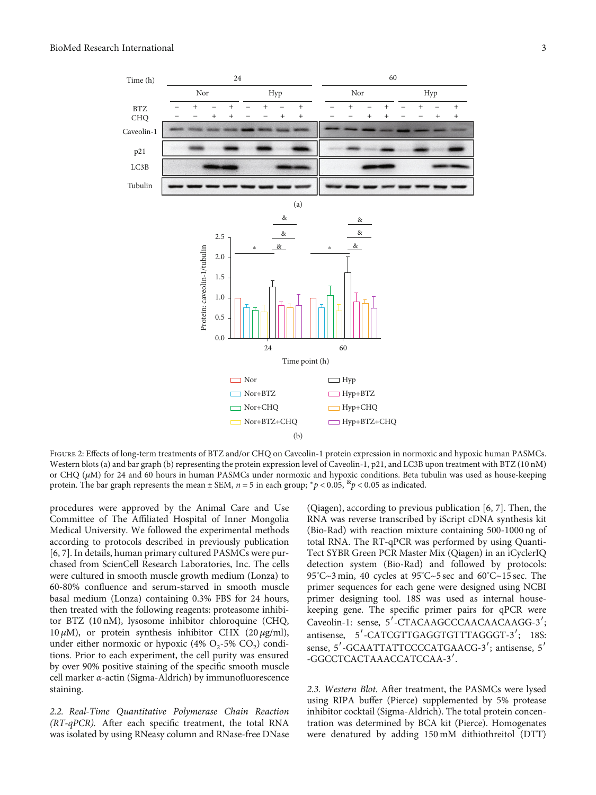<span id="page-2-0"></span>

FIGURE 2: Effects of long-term treatments of BTZ and/or CHQ on Caveolin-1 protein expression in normoxic and hypoxic human PASMCs. Western blots (a) and bar graph (b) representing the protein expression level of Caveolin-1, p21, and LC3B upon treatment with BTZ (10 nM) or CHQ (*μ*M) for 24 and 60 hours in human PASMCs under normoxic and hypoxic conditions. Beta tubulin was used as house-keeping protein. The bar graph represents the mean  $\pm$  SEM,  $n = 5$  in each group;  $\frac{*}{p}$  < 0.05,  $\frac{8}{p}$  < 0.05 as indicated.

procedures were approved by the Animal Care and Use Committee of The Affiliated Hospital of Inner Mongolia Medical University. We followed the experimental methods according to protocols described in previously publication [\[6](#page-7-0), [7](#page-7-0)]. In details, human primary cultured PASMCs were purchased from ScienCell Research Laboratories, Inc. The cells were cultured in smooth muscle growth medium (Lonza) to 60-80% confluence and serum-starved in smooth muscle basal medium (Lonza) containing 0.3% FBS for 24 hours, then treated with the following reagents: proteasome inhibitor BTZ (10 nM), lysosome inhibitor chloroquine (CHQ, 10 *μ*M), or protein synthesis inhibitor CHX (20 *μ*g/ml), under either normoxic or hypoxic  $(4\%$  O<sub>2</sub>-5% CO<sub>2</sub>) conditions. Prior to each experiment, the cell purity was ensured by over 90% positive staining of the specific smooth muscle cell marker *α*-actin (Sigma-Aldrich) by immunofluorescence staining.

2.2. Real-Time Quantitative Polymerase Chain Reaction (RT-qPCR). After each specific treatment, the total RNA was isolated by using RNeasy column and RNase-free DNase (Qiagen), according to previous publication [\[6](#page-7-0), [7\]](#page-7-0). Then, the RNA was reverse transcribed by iScript cDNA synthesis kit (Bio-Rad) with reaction mixture containing 500-1000 ng of total RNA. The RT-qPCR was performed by using Quanti-Tect SYBR Green PCR Master Mix (Qiagen) in an iCyclerIQ detection system (Bio-Rad) and followed by protocols: 95° C~3 min, 40 cycles at 95° C~5 sec and 60° C~15 sec. The primer sequences for each gene were designed using NCBI primer designing tool. 18S was used as internal housekeeping gene. The specific primer pairs for qPCR were Caveolin-1: sense, 5′-CTACAAGCCCAACAACAAGG-3′; antisense, 5′-CATCGTTGAGGTGTTTAGGGT-3′; 18S: sense, 5′-GCAATTATTCCCCATGAACG-3′; antisense, 5′ -GGCCTCACTAAACCATCCAA-3′.

2.3. Western Blot. After treatment, the PASMCs were lysed using RIPA buffer (Pierce) supplemented by 5% protease inhibitor cocktail (Sigma-Aldrich). The total protein concentration was determined by BCA kit (Pierce). Homogenates were denatured by adding 150 mM dithiothreitol (DTT)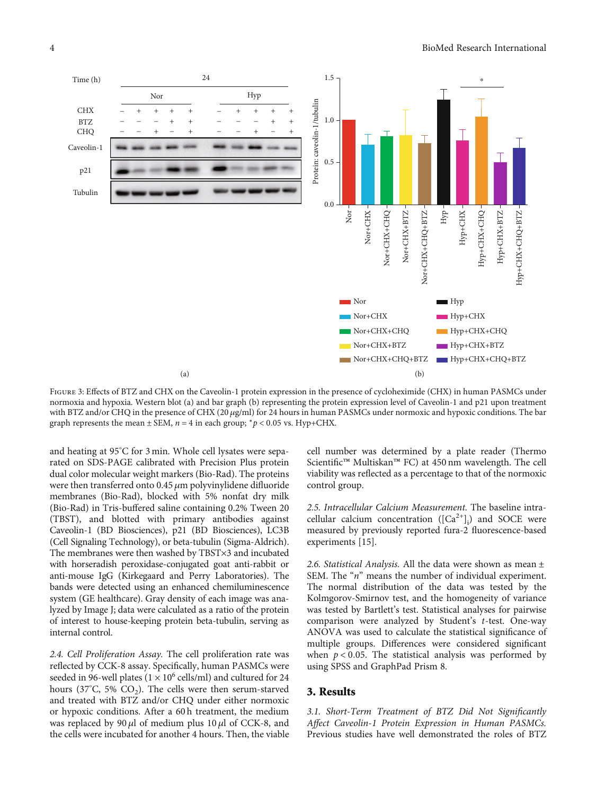<span id="page-3-0"></span>

FIGURE 3: Effects of BTZ and CHX on the Caveolin-1 protein expression in the presence of cycloheximide (CHX) in human PASMCs under normoxia and hypoxia. Western blot (a) and bar graph (b) representing the protein expression level of Caveolin-1 and p21 upon treatment with BTZ and/or CHQ in the presence of CHX (20 *μ*g/ml) for 24 hours in human PASMCs under normoxic and hypoxic conditions. The bar graph represents the mean  $\pm$  SEM,  $n = 4$  in each group;  $\binom{n}{r}$  < 0.05 vs. Hyp+CHX.

and heating at 95° C for 3 min. Whole cell lysates were separated on SDS-PAGE calibrated with Precision Plus protein dual color molecular weight markers (Bio-Rad). The proteins were then transferred onto 0.45 *μ*m polyvinylidene difluoride membranes (Bio-Rad), blocked with 5% nonfat dry milk (Bio-Rad) in Tris-buffered saline containing 0.2% Tween 20 (TBST), and blotted with primary antibodies against Caveolin-1 (BD Biosciences), p21 (BD Biosciences), LC3B (Cell Signaling Technology), or beta-tubulin (Sigma-Aldrich). The membranes were then washed by TBST×3 and incubated with horseradish peroxidase-conjugated goat anti-rabbit or anti-mouse IgG (Kirkegaard and Perry Laboratories). The bands were detected using an enhanced chemiluminescence system (GE healthcare). Gray density of each image was analyzed by Image J; data were calculated as a ratio of the protein of interest to house-keeping protein beta-tubulin, serving as internal control.

2.4. Cell Proliferation Assay. The cell proliferation rate was reflected by CCK-8 assay. Specifically, human PASMCs were seeded in 96-well plates ( $1 \times 10^6$  cells/ml) and cultured for 24 hours (37°C, 5%  $CO<sub>2</sub>$ ). The cells were then serum-starved and treated with BTZ and/or CHQ under either normoxic or hypoxic conditions. After a 60 h treatment, the medium was replaced by 90 *μ*l of medium plus 10 *μ*l of CCK-8, and the cells were incubated for another 4 hours. Then, the viable cell number was determined by a plate reader (Thermo Scientific™ Multiskan™ FC) at 450 nm wavelength. The cell viability was reflected as a percentage to that of the normoxic control group.

2.5. Intracellular Calcium Measurement. The baseline intracellular calcium concentration  $([Ca^{2+}]_i)$  and SOCE were measured by previously reported fura-2 fluorescence-based experiments [\[15\]](#page-7-0).

2.6. Statistical Analysis. All the data were shown as mean  $\pm$ SEM. The "*n*" means the number of individual experiment. The normal distribution of the data was tested by the Kolmgorov-Smirnov test, and the homogeneity of variance was tested by Bartlett's test. Statistical analyses for pairwise comparison were analyzed by Student's *t*-test. One-way ANOVA was used to calculate the statistical significance of multiple groups. Differences were considered significant when  $p < 0.05$ . The statistical analysis was performed by using SPSS and GraphPad Prism 8.

#### 3. Results

3.1. Short-Term Treatment of BTZ Did Not Significantly Affect Caveolin-1 Protein Expression in Human PASMCs. Previous studies have well demonstrated the roles of BTZ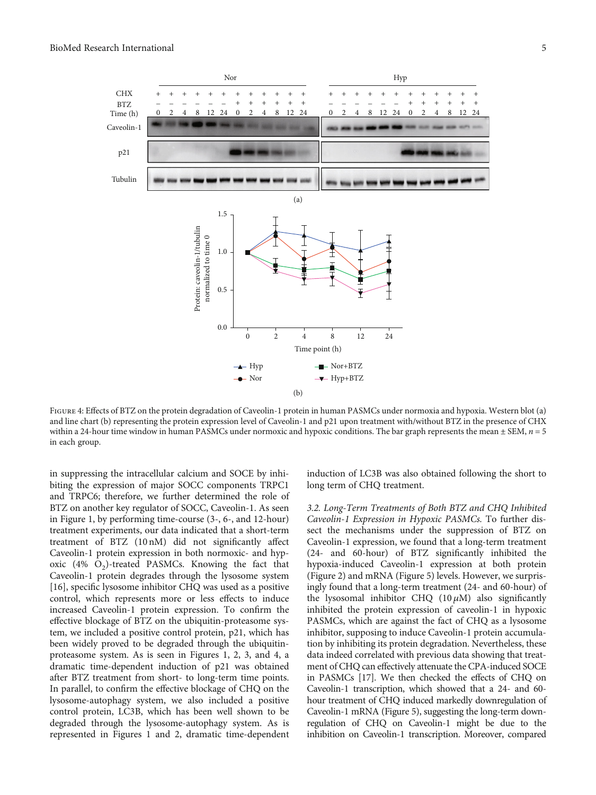<span id="page-4-0"></span>

Figure 4: Effects of BTZ on the protein degradation of Caveolin-1 protein in human PASMCs under normoxia and hypoxia. Western blot (a) and line chart (b) representing the protein expression level of Caveolin-1 and p21 upon treatment with/without BTZ in the presence of CHX within a 24-hour time window in human PASMCs under normoxic and hypoxic conditions. The bar graph represents the mean  $\pm$  SEM,  $n = 5$ in each group.

in suppressing the intracellular calcium and SOCE by inhibiting the expression of major SOCC components TRPC1 and TRPC6; therefore, we further determined the role of BTZ on another key regulator of SOCC, Caveolin-1. As seen in Figure [1](#page-1-0), by performing time-course (3-, 6-, and 12-hour) treatment experiments, our data indicated that a short-term treatment of BTZ (10 nM) did not significantly affect Caveolin-1 protein expression in both normoxic- and hypoxic  $(4\% \text{ O}_2)$ -treated PASMCs. Knowing the fact that Caveolin-1 protein degrades through the lysosome system [\[16](#page-7-0)], specific lysosome inhibitor CHQ was used as a positive control, which represents more or less effects to induce increased Caveolin-1 protein expression. To confirm the effective blockage of BTZ on the ubiquitin-proteasome system, we included a positive control protein, p21, which has been widely proved to be degraded through the ubiquitinproteasome system. As is seen in Figures [1](#page-1-0), [2,](#page-2-0) [3,](#page-3-0) and 4, a dramatic time-dependent induction of p21 was obtained after BTZ treatment from short- to long-term time points. In parallel, to confirm the effective blockage of CHQ on the lysosome-autophagy system, we also included a positive control protein, LC3B, which has been well shown to be degraded through the lysosome-autophagy system. As is represented in Figures [1](#page-1-0) and [2,](#page-2-0) dramatic time-dependent induction of LC3B was also obtained following the short to long term of CHQ treatment.

3.2. Long-Term Treatments of Both BTZ and CHQ Inhibited Caveolin-1 Expression in Hypoxic PASMCs. To further dissect the mechanisms under the suppression of BTZ on Caveolin-1 expression, we found that a long-term treatment (24- and 60-hour) of BTZ significantly inhibited the hypoxia-induced Caveolin-1 expression at both protein (Figure [2\)](#page-2-0) and mRNA (Figure [5](#page-5-0)) levels. However, we surprisingly found that a long-term treatment (24- and 60-hour) of the lysosomal inhibitor CHQ (10 *μ*M) also significantly inhibited the protein expression of caveolin-1 in hypoxic PASMCs, which are against the fact of CHQ as a lysosome inhibitor, supposing to induce Caveolin-1 protein accumulation by inhibiting its protein degradation. Nevertheless, these data indeed correlated with previous data showing that treatment of CHQ can effectively attenuate the CPA-induced SOCE in PASMCs [\[17](#page-7-0)]. We then checked the effects of CHQ on Caveolin-1 transcription, which showed that a 24- and 60 hour treatment of CHQ induced markedly downregulation of Caveolin-1 mRNA (Figure [5\)](#page-5-0), suggesting the long-term downregulation of CHQ on Caveolin-1 might be due to the inhibition on Caveolin-1 transcription. Moreover, compared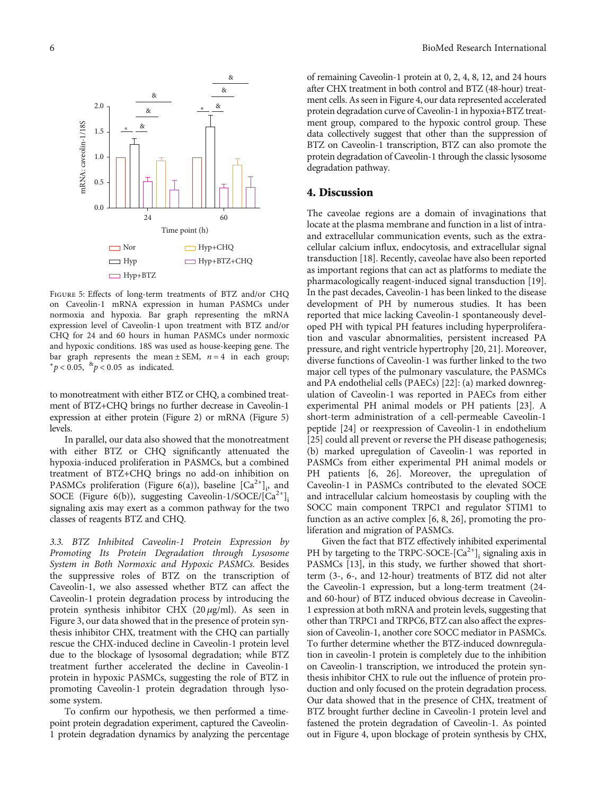<span id="page-5-0"></span>

Figure 5: Effects of long-term treatments of BTZ and/or CHQ on Caveolin-1 mRNA expression in human PASMCs under normoxia and hypoxia. Bar graph representing the mRNA expression level of Caveolin-1 upon treatment with BTZ and/or CHQ for 24 and 60 hours in human PASMCs under normoxic and hypoxic conditions. 18S was used as house-keeping gene. The bar graph represents the mean  $\pm$  SEM,  $n = 4$  in each group; <sup>∗</sup>*p* < 0*:*05, &*p* < 0*:*05 as indicated.

to monotreatment with either BTZ or CHQ, a combined treatment of BTZ+CHQ brings no further decrease in Caveolin-1 expression at either protein (Figure [2\)](#page-2-0) or mRNA (Figure 5) levels.

In parallel, our data also showed that the monotreatment with either BTZ or CHQ significantly attenuated the hypoxia-induced proliferation in PASMCs, but a combined treatment of BTZ+CHQ brings no add-on inhibition on PASMCs proliferation (Figure [6\(](#page-6-0)a)), baseline  $\left[Ca^{2+}\right]_i$  and SOCE (Figure [6\(](#page-6-0)b)), suggesting Caveolin-1/SOCE/[Ca<sup>2+</sup>]<sub>i</sub> signaling axis may exert as a common pathway for the two classes of reagents BTZ and CHQ.

3.3. BTZ Inhibited Caveolin-1 Protein Expression by Promoting Its Protein Degradation through Lysosome System in Both Normoxic and Hypoxic PASMCs. Besides the suppressive roles of BTZ on the transcription of Caveolin-1, we also assessed whether BTZ can affect the Caveolin-1 protein degradation process by introducing the protein synthesis inhibitor CHX (20 *μ*g/ml). As seen in Figure [3](#page-3-0), our data showed that in the presence of protein synthesis inhibitor CHX, treatment with the CHQ can partially rescue the CHX-induced decline in Caveolin-1 protein level due to the blockage of lysosomal degradation; while BTZ treatment further accelerated the decline in Caveolin-1 protein in hypoxic PASMCs, suggesting the role of BTZ in promoting Caveolin-1 protein degradation through lysosome system.

To confirm our hypothesis, we then performed a timepoint protein degradation experiment, captured the Caveolin-1 protein degradation dynamics by analyzing the percentage

of remaining Caveolin-1 protein at 0, 2, 4, 8, 12, and 24 hours after CHX treatment in both control and BTZ (48-hour) treatment cells. As seen in Figure [4](#page-4-0), our data represented accelerated protein degradation curve of Caveolin-1 in hypoxia+BTZ treatment group, compared to the hypoxic control group. These data collectively suggest that other than the suppression of BTZ on Caveolin-1 transcription, BTZ can also promote the protein degradation of Caveolin-1 through the classic lysosome degradation pathway.

#### 4. Discussion

The caveolae regions are a domain of invaginations that locate at the plasma membrane and function in a list of intraand extracellular communication events, such as the extracellular calcium influx, endocytosis, and extracellular signal transduction [\[18\]](#page-7-0). Recently, caveolae have also been reported as important regions that can act as platforms to mediate the pharmacologically reagent-induced signal transduction [[19](#page-7-0)]. In the past decades, Caveolin-1 has been linked to the disease development of PH by numerous studies. It has been reported that mice lacking Caveolin-1 spontaneously developed PH with typical PH features including hyperproliferation and vascular abnormalities, persistent increased PA pressure, and right ventricle hypertrophy [\[20, 21\]](#page-7-0). Moreover, diverse functions of Caveolin-1 was further linked to the two major cell types of the pulmonary vasculature, the PASMCs and PA endothelial cells (PAECs) [[22](#page-8-0)]: (a) marked downregulation of Caveolin-1 was reported in PAECs from either experimental PH animal models or PH patients [[23](#page-8-0)]. A short-term administration of a cell-permeable Caveolin-1 peptide [[24](#page-8-0)] or reexpression of Caveolin-1 in endothelium [\[25\]](#page-8-0) could all prevent or reverse the PH disease pathogenesis; (b) marked upregulation of Caveolin-1 was reported in PASMCs from either experimental PH animal models or PH patients [[6,](#page-7-0) [26\]](#page-8-0). Moreover, the upregulation of Caveolin-1 in PASMCs contributed to the elevated SOCE and intracellular calcium homeostasis by coupling with the SOCC main component TRPC1 and regulator STIM1 to function as an active complex [[6](#page-7-0), [8](#page-7-0), [26\]](#page-8-0), promoting the proliferation and migration of PASMCs.

Given the fact that BTZ effectively inhibited experimental PH by targeting to the TRPC-SOCE- $[Ca^{2+}]$ ; signaling axis in PASMCs [\[13](#page-7-0)], in this study, we further showed that shortterm (3-, 6-, and 12-hour) treatments of BTZ did not alter the Caveolin-1 expression, but a long-term treatment (24 and 60-hour) of BTZ induced obvious decrease in Caveolin-1 expression at both mRNA and protein levels, suggesting that other than TRPC1 and TRPC6, BTZ can also affect the expression of Caveolin-1, another core SOCC mediator in PASMCs. To further determine whether the BTZ-induced downregulation in caveolin-1 protein is completely due to the inhibition on Caveolin-1 transcription, we introduced the protein synthesis inhibitor CHX to rule out the influence of protein production and only focused on the protein degradation process. Our data showed that in the presence of CHX, treatment of BTZ brought further decline in Caveolin-1 protein level and fastened the protein degradation of Caveolin-1. As pointed out in Figure [4,](#page-4-0) upon blockage of protein synthesis by CHX,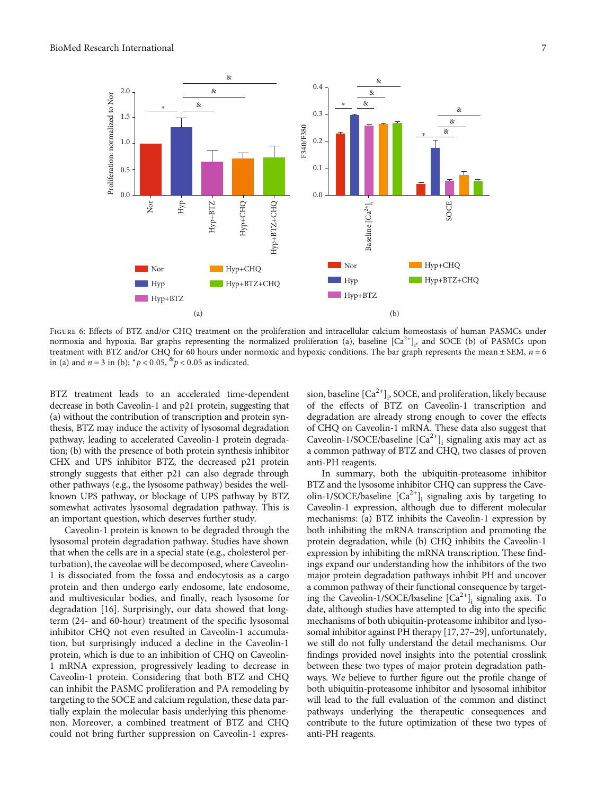<span id="page-6-0"></span>

Figure 6: Effects of BTZ and/or CHQ treatment on the proliferation and intracellular calcium homeostasis of human PASMCs under normoxia and hypoxia. Bar graphs representing the normalized proliferation (a), baseline  $[Ca^{2+}]_i$ , and SOCE (b) of PASMCs upon treatment with BTZ and/or CHQ for 60 hours under normoxic and hypoxic conditions. The bar graph represents the mean ± SEM, *n* = 6 in (a) and  $n = 3$  in (b);  $p < 0.05$ ,  $\frac{p}{q} < 0.05$  as indicated.

BTZ treatment leads to an accelerated time-dependent decrease in both Caveolin-1 and p21 protein, suggesting that (a) without the contribution of transcription and protein synthesis, BTZ may induce the activity of lysosomal degradation pathway, leading to accelerated Caveolin-1 protein degradation; (b) with the presence of both protein synthesis inhibitor CHX and UPS inhibitor BTZ, the decreased p21 protein strongly suggests that either p21 can also degrade through other pathways (e.g., the lysosome pathway) besides the wellknown UPS pathway, or blockage of UPS pathway by BTZ somewhat activates lysosomal degradation pathway. This is an important question, which deserves further study.

Caveolin-1 protein is known to be degraded through the lysosomal protein degradation pathway. Studies have shown that when the cells are in a special state (e.g., cholesterol perturbation), the caveolae will be decomposed, where Caveolin-1 is dissociated from the fossa and endocytosis as a cargo protein and then undergo early endosome, late endosome, and multivesicular bodies, and finally, reach lysosome for degradation [[16](#page-7-0)]. Surprisingly, our data showed that longterm (24- and 60-hour) treatment of the specific lysosomal inhibitor CHQ not even resulted in Caveolin-1 accumulation, but surprisingly induced a decline in the Caveolin-1 protein, which is due to an inhibition of CHQ on Caveolin-1 mRNA expression, progressively leading to decrease in Caveolin-1 protein. Considering that both BTZ and CHQ can inhibit the PASMC proliferation and PA remodeling by targeting to the SOCE and calcium regulation, these data partially explain the molecular basis underlying this phenomenon. Moreover, a combined treatment of BTZ and CHQ could not bring further suppression on Caveolin-1 expres-

sion, baseline  $\lbrack \text{Ca}^{2+}\rbrack_{\mathfrak{p}}$ , SOCE, and proliferation, likely because of the effects of BTZ on Caveolin-1 transcription and degradation are already strong enough to cover the effects of CHQ on Caveolin-1 mRNA. These data also suggest that Caveolin-1/SOCE/baseline  $[Ca^{2+}]$ <sub>i</sub> signaling axis may act as a common pathway of BTZ and CHQ, two classes of proven anti-PH reagents.

In summary, both the ubiquitin-proteasome inhibitor BTZ and the lysosome inhibitor CHQ can suppress the Caveolin-1/SOCE/baseline  $[Ca^{2+}]$ <sub>i</sub> signaling axis by targeting to Caveolin-1 expression, although due to different molecular mechanisms: (a) BTZ inhibits the Caveolin-1 expression by both inhibiting the mRNA transcription and promoting the protein degradation, while (b) CHQ inhibits the Caveolin-1 expression by inhibiting the mRNA transcription. These findings expand our understanding how the inhibitors of the two major protein degradation pathways inhibit PH and uncover a common pathway of their functional consequence by targeting the Caveolin-1/SOCE/baseline  $[Ca^{2+}]$ <sub>i</sub> signaling axis. To date, although studies have attempted to dig into the specific mechanisms of both ubiquitin-proteasome inhibitor and lysosomal inhibitor against PH therapy [[17](#page-7-0), [27](#page-8-0)–[29](#page-8-0)], unfortunately, we still do not fully understand the detail mechanisms. Our findings provided novel insights into the potential crosslink between these two types of major protein degradation pathways. We believe to further figure out the profile change of both ubiquitin-proteasome inhibitor and lysosomal inhibitor will lead to the full evaluation of the common and distinct pathways underlying the therapeutic consequences and contribute to the future optimization of these two types of anti-PH reagents.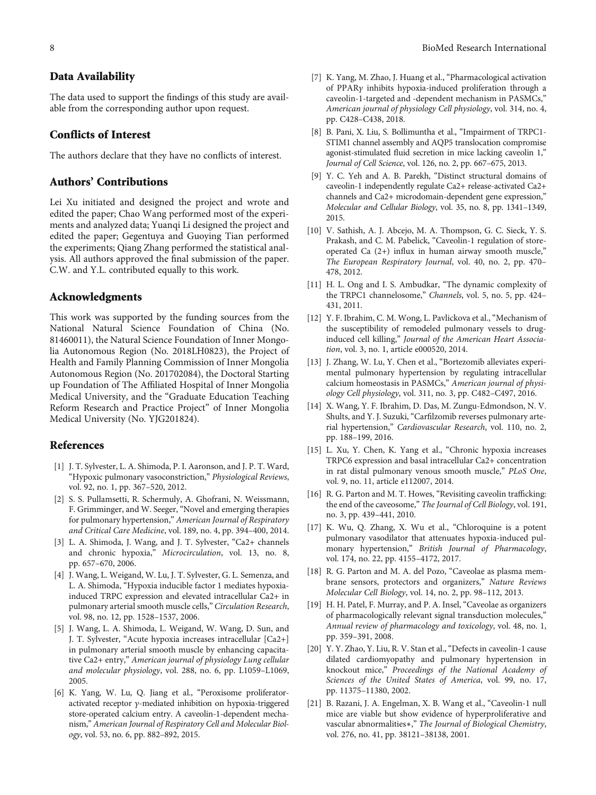### <span id="page-7-0"></span>Data Availability

The data used to support the findings of this study are available from the corresponding author upon request.

## Conflicts of Interest

The authors declare that they have no conflicts of interest.

# Authors' Contributions

Lei Xu initiated and designed the project and wrote and edited the paper; Chao Wang performed most of the experiments and analyzed data; Yuanqi Li designed the project and edited the paper; Gegentuya and Guoying Tian performed the experiments; Qiang Zhang performed the statistical analysis. All authors approved the final submission of the paper. C.W. and Y.L. contributed equally to this work.

#### Acknowledgments

This work was supported by the funding sources from the National Natural Science Foundation of China (No. 81460011), the Natural Science Foundation of Inner Mongolia Autonomous Region (No. 2018LH0823), the Project of Health and Family Planning Commission of Inner Mongolia Autonomous Region (No. 201702084), the Doctoral Starting up Foundation of The Affiliated Hospital of Inner Mongolia Medical University, and the "Graduate Education Teaching Reform Research and Practice Project" of Inner Mongolia Medical University (No. YJG201824).

### References

- [1] J. T. Sylvester, L. A. Shimoda, P. I. Aaronson, and J. P. T. Ward, "Hypoxic pulmonary vasoconstriction," Physiological Reviews, vol. 92, no. 1, pp. 367–520, 2012.
- [2] S. S. Pullamsetti, R. Schermuly, A. Ghofrani, N. Weissmann, F. Grimminger, and W. Seeger, "Novel and emerging therapies for pulmonary hypertension," American Journal of Respiratory and Critical Care Medicine, vol. 189, no. 4, pp. 394–400, 2014.
- [3] L. A. Shimoda, J. Wang, and J. T. Sylvester, "Ca2+ channels and chronic hypoxia," Microcirculation, vol. 13, no. 8, pp. 657–670, 2006.
- [4] J. Wang, L. Weigand, W. Lu, J. T. Sylvester, G. L. Semenza, and L. A. Shimoda, "Hypoxia inducible factor 1 mediates hypoxiainduced TRPC expression and elevated intracellular Ca2+ in pulmonary arterial smooth muscle cells," Circulation Research, vol. 98, no. 12, pp. 1528–1537, 2006.
- [5] J. Wang, L. A. Shimoda, L. Weigand, W. Wang, D. Sun, and J. T. Sylvester, "Acute hypoxia increases intracellular [Ca2+] in pulmonary arterial smooth muscle by enhancing capacitative Ca2+ entry," American journal of physiology Lung cellular and molecular physiology, vol. 288, no. 6, pp. L1059–L1069, 2005.
- [6] K. Yang, W. Lu, Q. Jiang et al., "Peroxisome proliferatoractivated receptor *γ*-mediated inhibition on hypoxia-triggered store-operated calcium entry. A caveolin-1-dependent mechanism," American Journal of Respiratory Cell and Molecular Biology, vol. 53, no. 6, pp. 882–892, 2015.
- [7] K. Yang, M. Zhao, J. Huang et al., "Pharmacological activation of PPAR*γ* inhibits hypoxia-induced proliferation through a caveolin-1-targeted and -dependent mechanism in PASMCs," American journal of physiology Cell physiology, vol. 314, no. 4, pp. C428–C438, 2018.
- [8] B. Pani, X. Liu, S. Bollimuntha et al., "Impairment of TRPC1- STIM1 channel assembly and AQP5 translocation compromise agonist-stimulated fluid secretion in mice lacking caveolin 1," Journal of Cell Science, vol. 126, no. 2, pp. 667–675, 2013.
- [9] Y. C. Yeh and A. B. Parekh, "Distinct structural domains of caveolin-1 independently regulate Ca2+ release-activated Ca2+ channels and Ca2+ microdomain-dependent gene expression," Molecular and Cellular Biology, vol. 35, no. 8, pp. 1341–1349, 2015.
- [10] V. Sathish, A. J. Abcejo, M. A. Thompson, G. C. Sieck, Y. S. Prakash, and C. M. Pabelick, "Caveolin-1 regulation of storeoperated Ca (2+) influx in human airway smooth muscle," The European Respiratory Journal, vol. 40, no. 2, pp. 470– 478, 2012.
- [11] H. L. Ong and I. S. Ambudkar, "The dynamic complexity of the TRPC1 channelosome," Channels, vol. 5, no. 5, pp. 424– 431, 2011.
- [12] Y. F. Ibrahim, C. M. Wong, L. Pavlickova et al., "Mechanism of the susceptibility of remodeled pulmonary vessels to druginduced cell killing," Journal of the American Heart Association, vol. 3, no. 1, article e000520, 2014.
- [13] J. Zhang, W. Lu, Y. Chen et al., "Bortezomib alleviates experimental pulmonary hypertension by regulating intracellular calcium homeostasis in PASMCs," American journal of physiology Cell physiology, vol. 311, no. 3, pp. C482–C497, 2016.
- [14] X. Wang, Y. F. Ibrahim, D. Das, M. Zungu-Edmondson, N. V. Shults, and Y. J. Suzuki, "Carfilzomib reverses pulmonary arterial hypertension," Cardiovascular Research, vol. 110, no. 2, pp. 188–199, 2016.
- [15] L. Xu, Y. Chen, K. Yang et al., "Chronic hypoxia increases TRPC6 expression and basal intracellular Ca2+ concentration in rat distal pulmonary venous smooth muscle," PLoS One, vol. 9, no. 11, article e112007, 2014.
- [16] R. G. Parton and M. T. Howes, "Revisiting caveolin trafficking: the end of the caveosome," The Journal of Cell Biology, vol. 191, no. 3, pp. 439–441, 2010.
- [17] K. Wu, Q. Zhang, X. Wu et al., "Chloroquine is a potent pulmonary vasodilator that attenuates hypoxia-induced pulmonary hypertension," British Journal of Pharmacology, vol. 174, no. 22, pp. 4155–4172, 2017.
- [18] R. G. Parton and M. A. del Pozo, "Caveolae as plasma membrane sensors, protectors and organizers," Nature Reviews Molecular Cell Biology, vol. 14, no. 2, pp. 98–112, 2013.
- [19] H. H. Patel, F. Murray, and P. A. Insel, "Caveolae as organizers of pharmacologically relevant signal transduction molecules," Annual review of pharmacology and toxicology, vol. 48, no. 1, pp. 359–391, 2008.
- [20] Y. Y. Zhao, Y. Liu, R. V. Stan et al., "Defects in caveolin-1 cause dilated cardiomyopathy and pulmonary hypertension in knockout mice," Proceedings of the National Academy of Sciences of the United States of America, vol. 99, no. 17, pp. 11375–11380, 2002.
- [21] B. Razani, J. A. Engelman, X. B. Wang et al., "Caveolin-1 null mice are viable but show evidence of hyperproliferative and vascular abnormalities∗," The Journal of Biological Chemistry, vol. 276, no. 41, pp. 38121–38138, 2001.